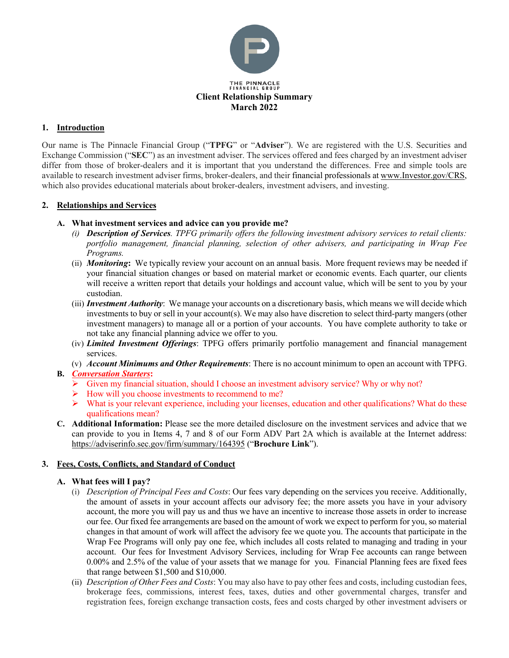

## **1. Introduction**

Our name is The Pinnacle Financial Group ("**TPFG**" or "**Adviser**"). We are registered with the U.S. Securities and Exchange Commission ("**SEC**") as an investment adviser. The services offered and fees charged by an investment adviser differ from those of broker-dealers and it is important that you understand the differences. Free and simple tools are available to research investment adviser firms, broker-dealers, and their financial professionals at [www.Investor.gov/CRS,](http://www.investor.gov/CRS) which also provides educational materials about broker-dealers, investment advisers, and investing.

## **2. Relationships and Services**

## **A. What investment services and advice can you provide me?**

- *(i) Description of Services. TPFG primarily offers the following investment advisory services to retail clients: portfolio management, financial planning, selection of other advisers, and participating in Wrap Fee Programs.*
- (ii) *Monitoring***:** We typically review your account on an annual basis. More frequent reviews may be needed if your financial situation changes or based on material market or economic events. Each quarter, our clients will receive a written report that details your holdings and account value, which will be sent to you by your custodian.
- (iii) *Investment Authority*: We manage your accounts on a discretionary basis, which means we will decide which investments to buy or sell in your account(s). We may also have discretion to select third-party mangers (other investment managers) to manage all or a portion of your accounts. You have complete authority to take or not take any financial planning advice we offer to you.
- (iv) *Limited Investment Offerings*: TPFG offers primarily portfolio management and financial management services.
- (v) *Account Minimums and Other Requirements*: There is no account minimum to open an account with TPFG.

# **B.** *Conversation Starters***:**

- $\triangleright$  Given my financial situation, should I choose an investment advisory service? Why or why not?
- $\triangleright$  How will you choose investments to recommend to me?
- What is your relevant experience, including your licenses, education and other qualifications? What do these qualifications mean?
- **C. Additional Information:** Please see the more detailed disclosure on the investment services and advice that we can provide to you in Items 4, 7 and 8 of our Form ADV Part 2A which is available at the Internet address: <https://adviserinfo.sec.gov/firm/summary/164395> ("**Brochure Link**").

# **3. Fees, Costs, Conflicts, and Standard of Conduct**

### **A. What fees will I pay?**

- (i) *Description of Principal Fees and Costs*: Our fees vary depending on the services you receive. Additionally, the amount of assets in your account affects our advisory fee; the more assets you have in your advisory account, the more you will pay us and thus we have an incentive to increase those assets in order to increase our fee. Our fixed fee arrangements are based on the amount of work we expect to perform for you, so material changes in that amount of work will affect the advisory fee we quote you. The accounts that participate in the Wrap Fee Programs will only pay one fee, which includes all costs related to managing and trading in your account. Our fees for Investment Advisory Services, including for Wrap Fee accounts can range between 0.00% and 2.5% of the value of your assets that we manage for you. Financial Planning fees are fixed fees that range between \$1,500 and \$10,000.
- (ii) *Description of Other Fees and Costs*: You may also have to pay other fees and costs, including custodian fees, brokerage fees, commissions, interest fees, taxes, duties and other governmental charges, transfer and registration fees, foreign exchange transaction costs, fees and costs charged by other investment advisers or